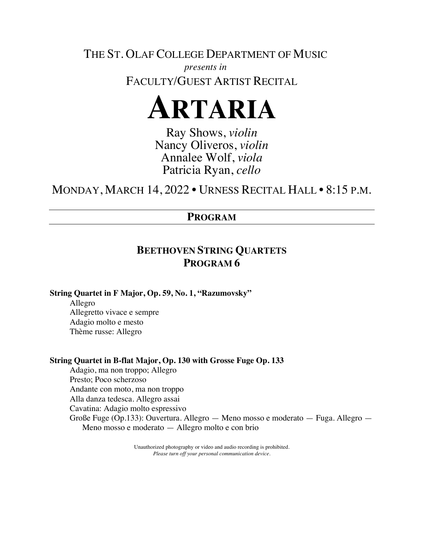THE ST. OLAF COLLEGE DEPARTMENT OF MUSIC *presents in* FACULTY/GUEST ARTIST RECITAL



Ray Shows, *violin* Nancy Oliveros, *violin* Annalee Wolf, *viola* Patricia Ryan, *cello*

MONDAY, MARCH 14, 2022 • URNESS RECITAL HALL • 8:15 P.M.

## **PROGRAM**

## **BEETHOVEN STRING QUARTETS PROGRAM 6**

**String Quartet in F Major, Op. 59, No. 1, "Razumovsky"**

Allegro Allegretto vivace e sempre Adagio molto e mesto Thème russe: Allegro

## **String Quartet in B-flat Major, Op. 130 with Grosse Fuge Op. 133**

Adagio, ma non troppo; Allegro Presto; Poco scherzoso Andante con moto, ma non troppo Alla danza tedesca. Allegro assai Cavatina: Adagio molto espressivo Große Fuge (Op.133): Ouvertura. Allegro — Meno mosso e moderato — Fuga. Allegro — Meno mosso e moderato — Allegro molto e con brio

> Unauthorized photography or video and audio recording is prohibited. *Please turn off your personal communication device.*